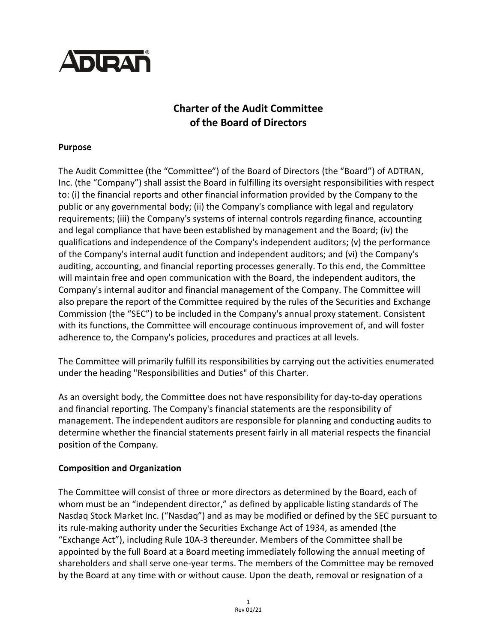

# **Charter of the Audit Committee of the Board of Directors**

#### **Purpose**

The Audit Committee (the "Committee") of the Board of Directors (the "Board") of ADTRAN, Inc. (the "Company") shall assist the Board in fulfilling its oversight responsibilities with respect to: (i) the financial reports and other financial information provided by the Company to the public or any governmental body; (ii) the Company's compliance with legal and regulatory requirements; (iii) the Company's systems of internal controls regarding finance, accounting and legal compliance that have been established by management and the Board; (iv) the qualifications and independence of the Company's independent auditors; (v) the performance of the Company's internal audit function and independent auditors; and (vi) the Company's auditing, accounting, and financial reporting processes generally. To this end, the Committee will maintain free and open communication with the Board, the independent auditors, the Company's internal auditor and financial management of the Company. The Committee will also prepare the report of the Committee required by the rules of the Securities and Exchange Commission (the "SEC") to be included in the Company's annual proxy statement. Consistent with its functions, the Committee will encourage continuous improvement of, and will foster adherence to, the Company's policies, procedures and practices at all levels.

The Committee will primarily fulfill its responsibilities by carrying out the activities enumerated under the heading "Responsibilities and Duties" of this Charter.

As an oversight body, the Committee does not have responsibility for day-to-day operations and financial reporting. The Company's financial statements are the responsibility of management. The independent auditors are responsible for planning and conducting audits to determine whether the financial statements present fairly in all material respects the financial position of the Company.

# **Composition and Organization**

The Committee will consist of three or more directors as determined by the Board, each of whom must be an "independent director," as defined by applicable listing standards of The Nasdaq Stock Market Inc. ("Nasdaq") and as may be modified or defined by the SEC pursuant to its rule-making authority under the Securities Exchange Act of 1934, as amended (the "Exchange Act"), including Rule 10A-3 thereunder. Members of the Committee shall be appointed by the full Board at a Board meeting immediately following the annual meeting of shareholders and shall serve one-year terms. The members of the Committee may be removed by the Board at any time with or without cause. Upon the death, removal or resignation of a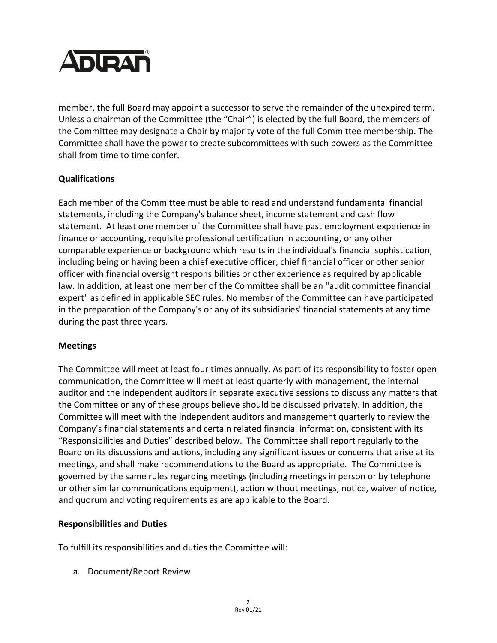

member, the full Board may appoint a successor to serve the remainder of the unexpired term. Unless a chairman of the Committee (the "Chair") is elected by the full Board, the members of the Committee may designate a Chair by majority vote of the full Committee membership. The Committee shall have the power to create subcommittees with such powers as the Committee shall from time to time confer.

# **Qualifications**

Each member of the Committee must be able to read and understand fundamental financial statements, including the Company's balance sheet, income statement and cash flow statement. At least one member of the Committee shall have past employment experience in finance or accounting, requisite professional certification in accounting, or any other comparable experience or background which results in the individual's financial sophistication, including being or having been a chief executive officer, chief financial officer or other senior officer with financial oversight responsibilities or other experience as required by applicable law. In addition, at least one member of the Committee shall be an "audit committee financial expert" as defined in applicable SEC rules. No member of the Committee can have participated in the preparation of the Company's or any of its subsidiaries' financial statements at any time during the past three years.

# **Meetings**

The Committee will meet at least four times annually. As part of its responsibility to foster open communication, the Committee will meet at least quarterly with management, the internal auditor and the independent auditors in separate executive sessions to discuss any matters that the Committee or any of these groups believe should be discussed privately. In addition, the Committee will meet with the independent auditors and management quarterly to review the Company's financial statements and certain related financial information, consistent with its "Responsibilities and Duties" described below. The Committee shall report regularly to the Board on its discussions and actions, including any significant issues or concerns that arise at its meetings, and shall make recommendations to the Board as appropriate. The Committee is governed by the same rules regarding meetings (including meetings in person or by telephone or other similar communications equipment), action without meetings, notice, waiver of notice, and quorum and voting requirements as are applicable to the Board.

# **Responsibilities and Duties**

To fulfill its responsibilities and duties the Committee will:

a. Document/Report Review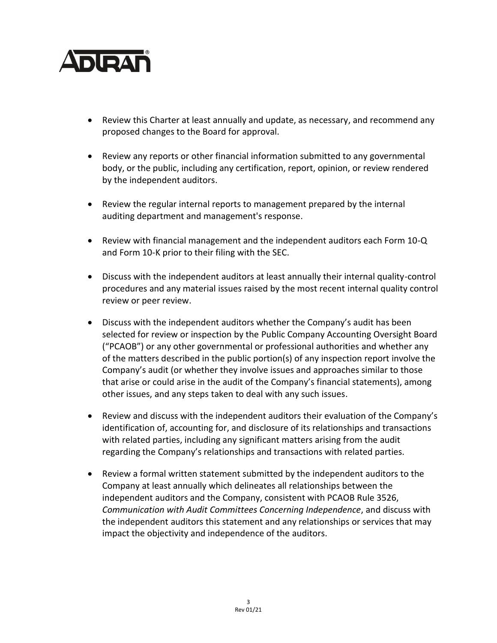

- Review this Charter at least annually and update, as necessary, and recommend any proposed changes to the Board for approval.
- Review any reports or other financial information submitted to any governmental body, or the public, including any certification, report, opinion, or review rendered by the independent auditors.
- Review the regular internal reports to management prepared by the internal auditing department and management's response.
- Review with financial management and the independent auditors each Form 10-Q and Form 10-K prior to their filing with the SEC.
- Discuss with the independent auditors at least annually their internal quality-control procedures and any material issues raised by the most recent internal quality control review or peer review.
- Discuss with the independent auditors whether the Company's audit has been selected for review or inspection by the Public Company Accounting Oversight Board ("PCAOB") or any other governmental or professional authorities and whether any of the matters described in the public portion(s) of any inspection report involve the Company's audit (or whether they involve issues and approaches similar to those that arise or could arise in the audit of the Company's financial statements), among other issues, and any steps taken to deal with any such issues.
- Review and discuss with the independent auditors their evaluation of the Company's identification of, accounting for, and disclosure of its relationships and transactions with related parties, including any significant matters arising from the audit regarding the Company's relationships and transactions with related parties.
- Review a formal written statement submitted by the independent auditors to the Company at least annually which delineates all relationships between the independent auditors and the Company, consistent with PCAOB Rule 3526, *Communication with Audit Committees Concerning Independence*, and discuss with the independent auditors this statement and any relationships or services that may impact the objectivity and independence of the auditors.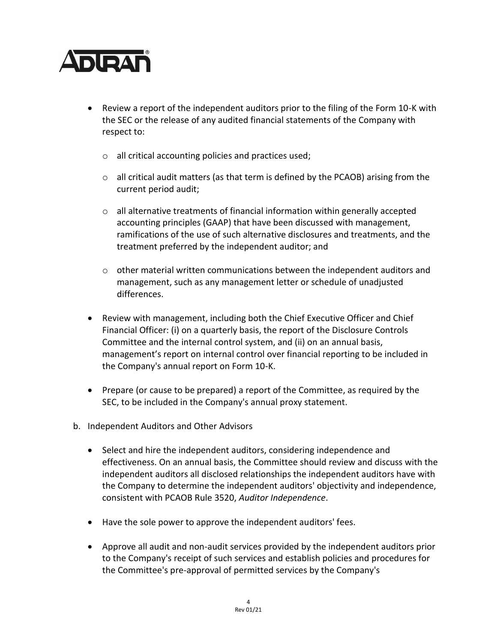# **ADIRAN**

- Review a report of the independent auditors prior to the filing of the Form 10-K with the SEC or the release of any audited financial statements of the Company with respect to:
	- o all critical accounting policies and practices used;
	- $\circ$  all critical audit matters (as that term is defined by the PCAOB) arising from the current period audit;
	- $\circ$  all alternative treatments of financial information within generally accepted accounting principles (GAAP) that have been discussed with management, ramifications of the use of such alternative disclosures and treatments, and the treatment preferred by the independent auditor; and
	- $\circ$  other material written communications between the independent auditors and management, such as any management letter or schedule of unadjusted differences.
- Review with management, including both the Chief Executive Officer and Chief Financial Officer: (i) on a quarterly basis, the report of the Disclosure Controls Committee and the internal control system, and (ii) on an annual basis, management's report on internal control over financial reporting to be included in the Company's annual report on Form 10-K.
- Prepare (or cause to be prepared) a report of the Committee, as required by the SEC, to be included in the Company's annual proxy statement.
- b. Independent Auditors and Other Advisors
	- Select and hire the independent auditors, considering independence and effectiveness. On an annual basis, the Committee should review and discuss with the independent auditors all disclosed relationships the independent auditors have with the Company to determine the independent auditors' objectivity and independence, consistent with PCAOB Rule 3520, *Auditor Independence*.
	- Have the sole power to approve the independent auditors' fees.
	- Approve all audit and non-audit services provided by the independent auditors prior to the Company's receipt of such services and establish policies and procedures for the Committee's pre-approval of permitted services by the Company's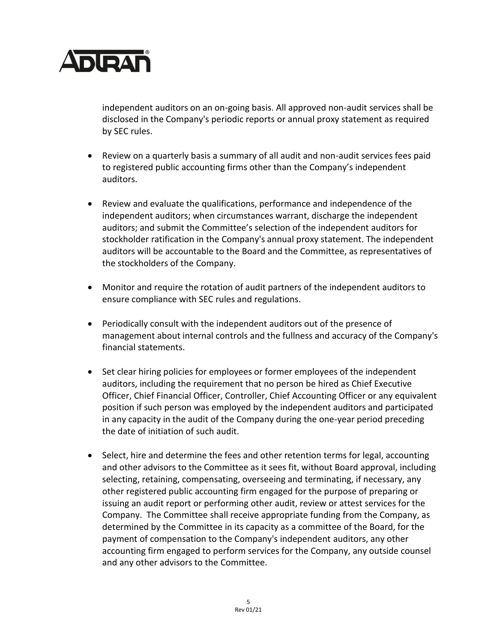

independent auditors on an on-going basis. All approved non-audit services shall be disclosed in the Company's periodic reports or annual proxy statement as required by SEC rules.

- Review on a quarterly basis a summary of all audit and non-audit services fees paid to registered public accounting firms other than the Company's independent auditors.
- Review and evaluate the qualifications, performance and independence of the independent auditors; when circumstances warrant, discharge the independent auditors; and submit the Committee's selection of the independent auditors for stockholder ratification in the Company's annual proxy statement. The independent auditors will be accountable to the Board and the Committee, as representatives of the stockholders of the Company.
- Monitor and require the rotation of audit partners of the independent auditors to ensure compliance with SEC rules and regulations.
- Periodically consult with the independent auditors out of the presence of management about internal controls and the fullness and accuracy of the Company's financial statements.
- Set clear hiring policies for employees or former employees of the independent auditors, including the requirement that no person be hired as Chief Executive Officer, Chief Financial Officer, Controller, Chief Accounting Officer or any equivalent position if such person was employed by the independent auditors and participated in any capacity in the audit of the Company during the one-year period preceding the date of initiation of such audit.
- Select, hire and determine the fees and other retention terms for legal, accounting and other advisors to the Committee as it sees fit, without Board approval, including selecting, retaining, compensating, overseeing and terminating, if necessary, any other registered public accounting firm engaged for the purpose of preparing or issuing an audit report or performing other audit, review or attest services for the Company. The Committee shall receive appropriate funding from the Company, as determined by the Committee in its capacity as a committee of the Board, for the payment of compensation to the Company's independent auditors, any other accounting firm engaged to perform services for the Company, any outside counsel and any other advisors to the Committee.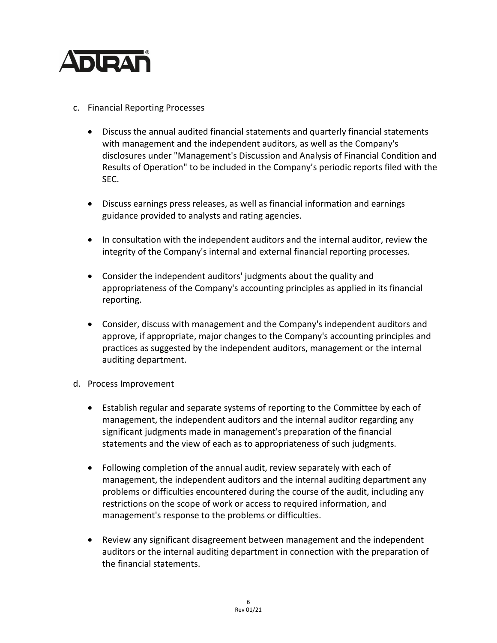

- c. Financial Reporting Processes
	- Discuss the annual audited financial statements and quarterly financial statements with management and the independent auditors, as well as the Company's disclosures under "Management's Discussion and Analysis of Financial Condition and Results of Operation" to be included in the Company's periodic reports filed with the SEC.
	- Discuss earnings press releases, as well as financial information and earnings guidance provided to analysts and rating agencies.
	- In consultation with the independent auditors and the internal auditor, review the integrity of the Company's internal and external financial reporting processes.
	- Consider the independent auditors' judgments about the quality and appropriateness of the Company's accounting principles as applied in its financial reporting.
	- Consider, discuss with management and the Company's independent auditors and approve, if appropriate, major changes to the Company's accounting principles and practices as suggested by the independent auditors, management or the internal auditing department.
- d. Process Improvement
	- Establish regular and separate systems of reporting to the Committee by each of management, the independent auditors and the internal auditor regarding any significant judgments made in management's preparation of the financial statements and the view of each as to appropriateness of such judgments.
	- Following completion of the annual audit, review separately with each of management, the independent auditors and the internal auditing department any problems or difficulties encountered during the course of the audit, including any restrictions on the scope of work or access to required information, and management's response to the problems or difficulties.
	- Review any significant disagreement between management and the independent auditors or the internal auditing department in connection with the preparation of the financial statements.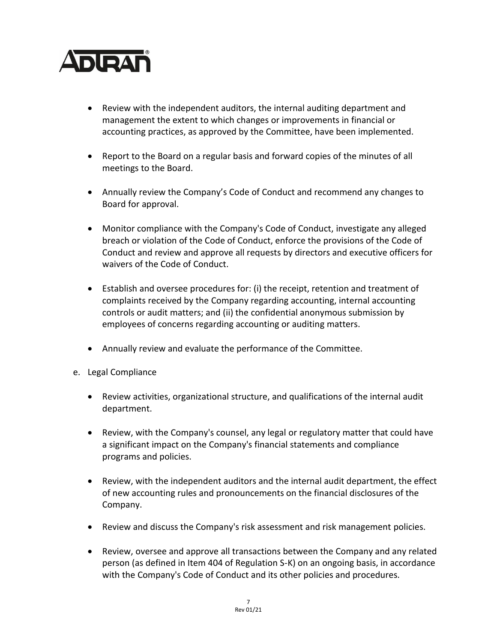

- Review with the independent auditors, the internal auditing department and management the extent to which changes or improvements in financial or accounting practices, as approved by the Committee, have been implemented.
- Report to the Board on a regular basis and forward copies of the minutes of all meetings to the Board.
- Annually review the Company's Code of Conduct and recommend any changes to Board for approval.
- Monitor compliance with the Company's Code of Conduct, investigate any alleged breach or violation of the Code of Conduct, enforce the provisions of the Code of Conduct and review and approve all requests by directors and executive officers for waivers of the Code of Conduct.
- Establish and oversee procedures for: (i) the receipt, retention and treatment of complaints received by the Company regarding accounting, internal accounting controls or audit matters; and (ii) the confidential anonymous submission by employees of concerns regarding accounting or auditing matters.
- Annually review and evaluate the performance of the Committee.
- e. Legal Compliance
	- Review activities, organizational structure, and qualifications of the internal audit department.
	- Review, with the Company's counsel, any legal or regulatory matter that could have a significant impact on the Company's financial statements and compliance programs and policies.
	- Review, with the independent auditors and the internal audit department, the effect of new accounting rules and pronouncements on the financial disclosures of the Company.
	- Review and discuss the Company's risk assessment and risk management policies.
	- Review, oversee and approve all transactions between the Company and any related person (as defined in Item 404 of Regulation S-K) on an ongoing basis, in accordance with the Company's Code of Conduct and its other policies and procedures.